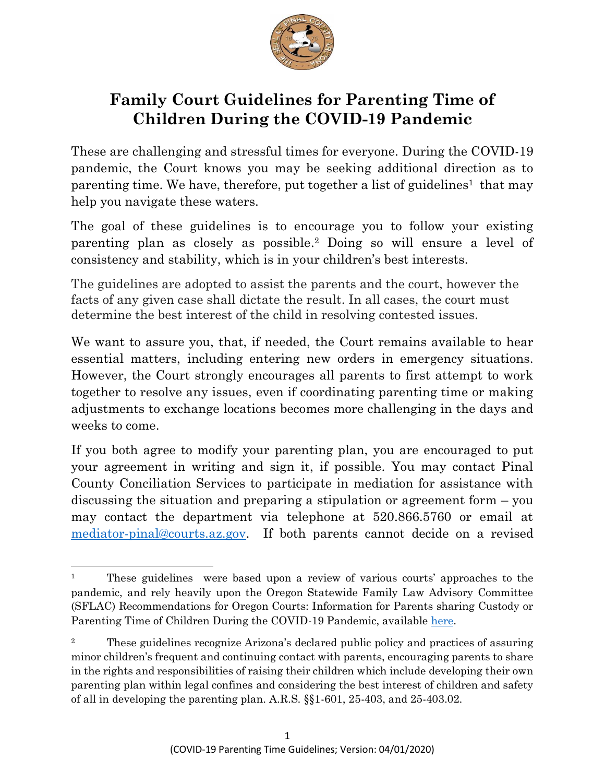

# **Family Court Guidelines for Parenting Time of Children During the COVID-19 Pandemic**

These are challenging and stressful times for everyone. During the COVID-19 pandemic, the Court knows you may be seeking additional direction as to parenting time. We have, therefore, put together a list of guidelines<sup>1</sup> that may help you navigate these waters.

The goal of these guidelines is to encourage you to follow your existing parenting plan as closely as possible. <sup>2</sup> Doing so will ensure a level of consistency and stability, which is in your children's best interests.

The guidelines are adopted to assist the parents and the court, however the facts of any given case shall dictate the result. In all cases, the court must determine the best interest of the child in resolving contested issues.

We want to assure you, that, if needed, the Court remains available to hear essential matters, including entering new orders in emergency situations. However, the Court strongly encourages all parents to first attempt to work together to resolve any issues, even if coordinating parenting time or making adjustments to exchange locations becomes more challenging in the days and weeks to come.

If you both agree to modify your parenting plan, you are encouraged to put your agreement in writing and sign it, if possible. You may contact Pinal County Conciliation Services to participate in mediation for assistance with discussing the situation and preparing a stipulation or agreement form – you may contact the department via telephone at 520.866.5760 or email at [mediator-pinal@courts.az.gov.](mailto:mediator-pinal@courts.az.gov) If both parents cannot decide on a revised

 $\overline{\phantom{a}}$ 

<sup>&</sup>lt;sup>1</sup> These guidelines were based upon a review of various courts' approaches to the pandemic, and rely heavily upon the Oregon Statewide Family Law Advisory Committee (SFLAC) Recommendations for Oregon Courts: Information for Parents sharing Custody or Parenting Time of Children During the COVID-19 Pandemic, available [here.](https://www.courts.oregon.gov/programs/family/sflac/SFLAC%20Documents/SFLACGuidelineForParentsDuringCOVID19Pandemic.pdf)

<sup>2</sup> These guidelines recognize Arizona's declared public policy and practices of assuring minor children's frequent and continuing contact with parents, encouraging parents to share in the rights and responsibilities of raising their children which include developing their own parenting plan within legal confines and considering the best interest of children and safety of all in developing the parenting plan. A.R.S. §§1-601, 25-403, and 25-403.02.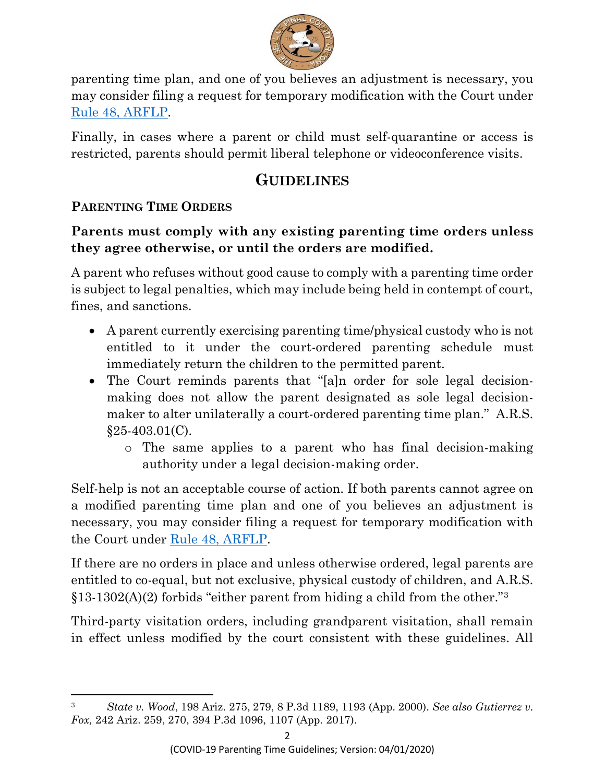

parenting time plan, and one of you believes an adjustment is necessary, you may consider filing a request for temporary modification with the Court under [Rule 48, ARFLP.](https://govt.westlaw.com/azrules/Document/N13C2A5906AC411DCB0E0A5A092926BB6?viewType=FullText&originationContext=documenttoc&transitionType=CategoryPageItem&contextData=(sc.Default))

Finally, in cases where a parent or child must self-quarantine or access is restricted, parents should permit liberal telephone or videoconference visits.

## **GUIDELINES**

## **PARENTING TIME ORDERS**

 $\overline{a}$ 

## **Parents must comply with any existing parenting time orders unless they agree otherwise, or until the orders are modified.**

A parent who refuses without good cause to comply with a parenting time order is subject to legal penalties, which may include being held in contempt of court, fines, and sanctions.

- A parent currently exercising parenting time/physical custody who is not entitled to it under the court-ordered parenting schedule must immediately return the children to the permitted parent.
- The Court reminds parents that "[a]n order for sole legal decisionmaking does not allow the parent designated as sole legal decisionmaker to alter unilaterally a court-ordered parenting time plan." A.R.S.  $§25-403.01(C)$ .
	- o The same applies to a parent who has final decision-making authority under a legal decision-making order.

Self-help is not an acceptable course of action. If both parents cannot agree on a modified parenting time plan and one of you believes an adjustment is necessary, you may consider filing a request for temporary modification with the Court under [Rule 48, ARFLP.](https://govt.westlaw.com/azrules/Document/N13C2A5906AC411DCB0E0A5A092926BB6?viewType=FullText&originationContext=documenttoc&transitionType=CategoryPageItem&contextData=(sc.Default))

If there are no orders in place and unless otherwise ordered, legal parents are entitled to co-equal, but not exclusive, physical custody of children, and A.R.S.  $\S 13-1302(A)(2)$  forbids "either parent from hiding a child from the other."<sup>3</sup>

Third-party visitation orders, including grandparent visitation, shall remain in effect unless modified by the court consistent with these guidelines. All

<sup>3</sup> *State v. Wood*, 198 Ariz. 275, 279, 8 P.3d 1189, 1193 (App. 2000). *See also Gutierrez v. Fox,* 242 Ariz. 259, 270, 394 P.3d 1096, 1107 (App. 2017).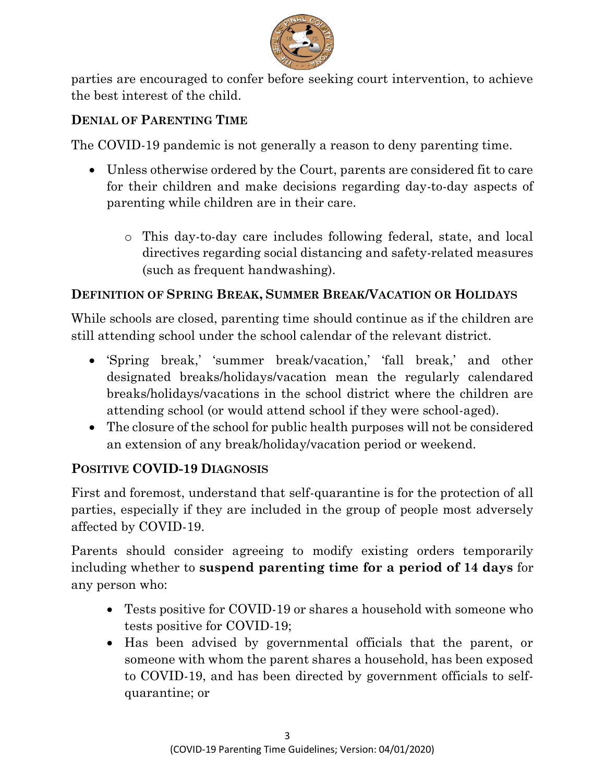

parties are encouraged to confer before seeking court intervention, to achieve the best interest of the child.

#### **DENIAL OF PARENTING TIME**

The COVID-19 pandemic is not generally a reason to deny parenting time.

- Unless otherwise ordered by the Court, parents are considered fit to care for their children and make decisions regarding day-to-day aspects of parenting while children are in their care.
	- o This day-to-day care includes following federal, state, and local directives regarding social distancing and safety-related measures (such as frequent handwashing).

### **DEFINITION OF SPRING BREAK, SUMMER BREAK/VACATION OR HOLIDAYS**

While schools are closed, parenting time should continue as if the children are still attending school under the school calendar of the relevant district.

- 'Spring break,' 'summer break/vacation,' 'fall break,' and other designated breaks/holidays/vacation mean the regularly calendared breaks/holidays/vacations in the school district where the children are attending school (or would attend school if they were school-aged).
- The closure of the school for public health purposes will not be considered an extension of any break/holiday/vacation period or weekend.

#### **POSITIVE COVID-19 DIAGNOSIS**

First and foremost, understand that self-quarantine is for the protection of all parties, especially if they are included in the group of people most adversely affected by COVID-19.

Parents should consider agreeing to modify existing orders temporarily including whether to **suspend parenting time for a period of 14 days** for any person who:

- Tests positive for COVID-19 or shares a household with someone who tests positive for COVID-19;
- Has been advised by governmental officials that the parent, or someone with whom the parent shares a household, has been exposed to COVID-19, and has been directed by government officials to selfquarantine; or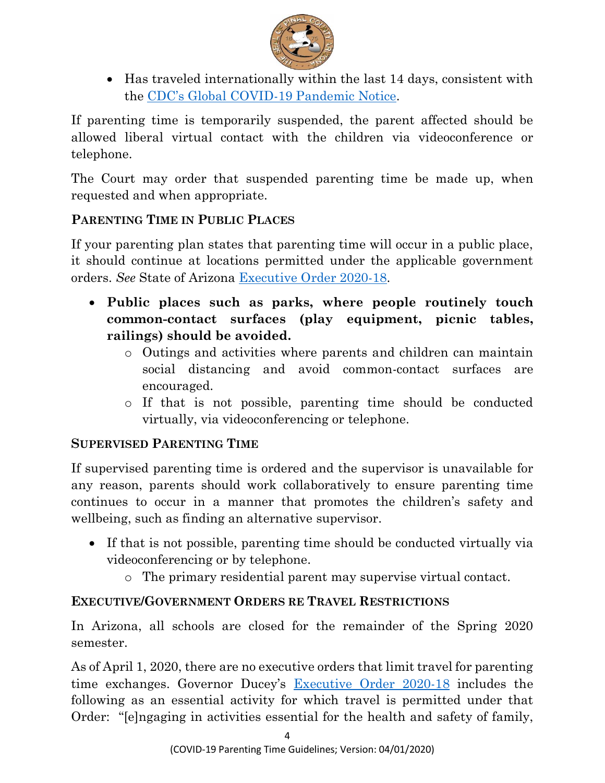

• Has traveled internationally within the last 14 days, consistent with the CDC's Global COVID[-19 Pandemic Notice.](https://wwwnc.cdc.gov/travel/notices/warning/coronavirus-global)

If parenting time is temporarily suspended, the parent affected should be allowed liberal virtual contact with the children via videoconference or telephone.

The Court may order that suspended parenting time be made up, when requested and when appropriate.

## **PARENTING TIME IN PUBLIC PLACES**

If your parenting plan states that parenting time will occur in a public place, it should continue at locations permitted under the applicable government orders. *See* State of Arizona [Executive Order 2020-18.](https://azgovernor.gov/executive-orders)

- **Public places such as parks, where people routinely touch common-contact surfaces (play equipment, picnic tables, railings) should be avoided.** 
	- o Outings and activities where parents and children can maintain social distancing and avoid common-contact surfaces are encouraged.
	- o If that is not possible, parenting time should be conducted virtually, via videoconferencing or telephone.

#### **SUPERVISED PARENTING TIME**

If supervised parenting time is ordered and the supervisor is unavailable for any reason, parents should work collaboratively to ensure parenting time continues to occur in a manner that promotes the children's safety and wellbeing, such as finding an alternative supervisor.

- If that is not possible, parenting time should be conducted virtually via videoconferencing or by telephone.
	- o The primary residential parent may supervise virtual contact.

#### **EXECUTIVE/GOVERNMENT ORDERS RE TRAVEL RESTRICTIONS**

In Arizona, all schools are closed for the remainder of the Spring 2020 semester.

As of April 1, 2020, there are no executive orders that limit travel for parenting time exchanges. Governor Ducey's <u>[Executive Order 2020-18](https://azgovernor.gov/executive-orders)</u> includes the following as an essential activity for which travel is permitted under that Order: "[e]ngaging in activities essential for the health and safety of family,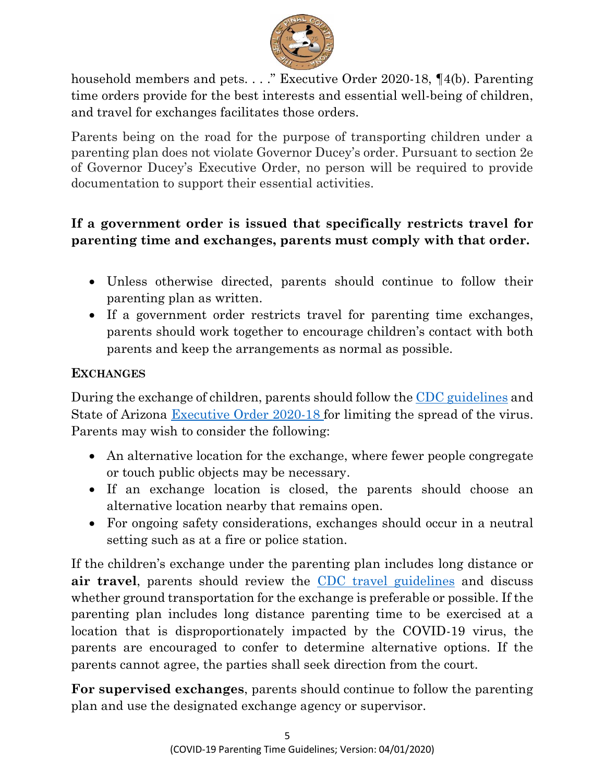

household members and pets. . . ." Executive Order 2020-18, ¶4(b). Parenting time orders provide for the best interests and essential well-being of children, and travel for exchanges facilitates those orders.

Parents being on the road for the purpose of transporting children under a parenting plan does not violate Governor Ducey's order. Pursuant to section 2e of Governor Ducey's Executive Order, no person will be required to provide documentation to support their essential activities.

## **If a government order is issued that specifically restricts travel for parenting time and exchanges, parents must comply with that order.**

- Unless otherwise directed, parents should continue to follow their parenting plan as written.
- If a government order restricts travel for parenting time exchanges, parents should work together to encourage children's contact with both parents and keep the arrangements as normal as possible.

#### **EXCHANGES**

During the exchange of children, parents should follow the [CDC guidelines](https://www.whitehouse.gov/wp-content/uploads/2020/03/03.16.20_coronavirus-guidance_8.5x11_315PM.pdf) and State of Arizona [Executive Order 2020-18](https://azgovernor.gov/executive-orders) for limiting the spread of the virus. Parents may wish to consider the following:

- An alternative location for the exchange, where fewer people congregate or touch public objects may be necessary.
- If an exchange location is closed, the parents should choose an alternative location nearby that remains open.
- For ongoing safety considerations, exchanges should occur in a neutral setting such as at a fire or police station.

If the children's exchange under the parenting plan includes long distance or **air travel**, parents should review the CDC travel [guidelines](https://www.cdc.gov/coronavirus/2019-ncov/travelers/travel-in-the-us.html) and discuss whether ground transportation for the exchange is preferable or possible. If the parenting plan includes long distance parenting time to be exercised at a location that is disproportionately impacted by the COVID-19 virus, the parents are encouraged to confer to determine alternative options. If the parents cannot agree, the parties shall seek direction from the court.

**For supervised exchanges**, parents should continue to follow the parenting plan and use the designated exchange agency or supervisor.